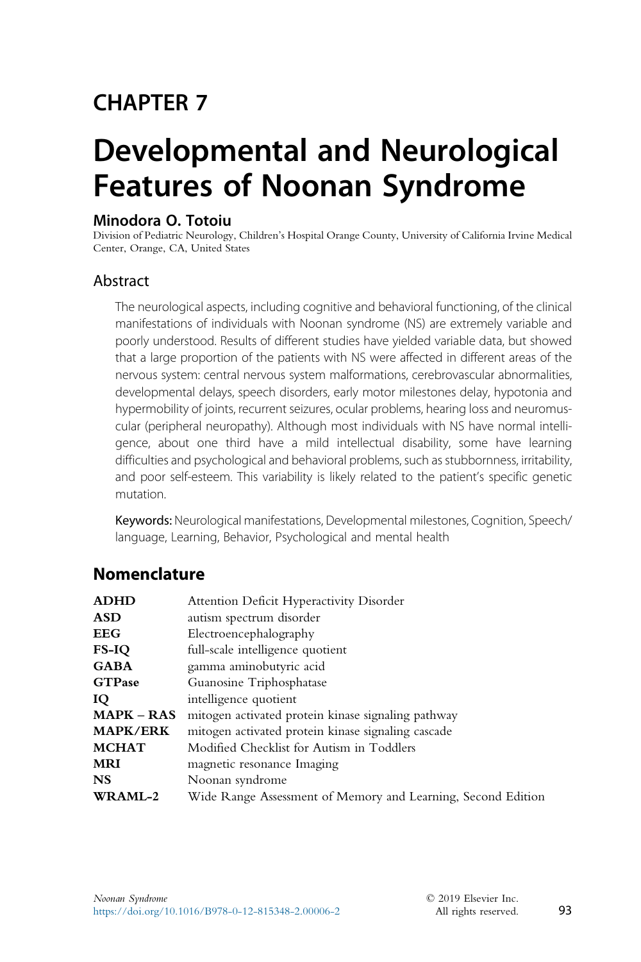# CHAPTER 7

# Developmental and Neurological Features of Noonan Syndrome

#### Minodora O. Totoiu

Division of Pediatric Neurology, Children's Hospital Orange County, University of California Irvine Medical Center, Orange, CA, United States

#### Abstract

The neurological aspects, including cognitive and behavioral functioning, of the clinical manifestations of individuals with Noonan syndrome (NS) are extremely variable and poorly understood. Results of different studies have yielded variable data, but showed that a large proportion of the patients with NS were affected in different areas of the nervous system: central nervous system malformations, cerebrovascular abnormalities, developmental delays, speech disorders, early motor milestones delay, hypotonia and hypermobility of joints, recurrent seizures, ocular problems, hearing loss and neuromuscular (peripheral neuropathy). Although most individuals with NS have normal intelligence, about one third have a mild intellectual disability, some have learning difficulties and psychological and behavioral problems, such as stubbornness, irritability, and poor self-esteem. This variability is likely related to the patient's specific genetic mutation.

Keywords: Neurological manifestations, Developmental milestones, Cognition, Speech/ language, Learning, Behavior, Psychological and mental health

#### Nomenclature

| <b>ADHD</b>       | Attention Deficit Hyperactivity Disorder                     |  |
|-------------------|--------------------------------------------------------------|--|
| ASD               | autism spectrum disorder                                     |  |
| EEG               | Electroencephalography                                       |  |
| FS-IQ             | full-scale intelligence quotient                             |  |
| GABA              | gamma aminobutyric acid                                      |  |
| <b>GTPase</b>     | Guanosine Triphosphatase                                     |  |
| Ю                 | intelligence quotient                                        |  |
| <b>MAPK – RAS</b> | mitogen activated protein kinase signaling pathway           |  |
| <b>MAPK/ERK</b>   | mitogen activated protein kinase signaling cascade           |  |
| <b>MCHAT</b>      | Modified Checklist for Autism in Toddlers                    |  |
| MRI               | magnetic resonance Imaging                                   |  |
| NS                | Noonan syndrome                                              |  |
| <b>WRAML-2</b>    | Wide Range Assessment of Memory and Learning, Second Edition |  |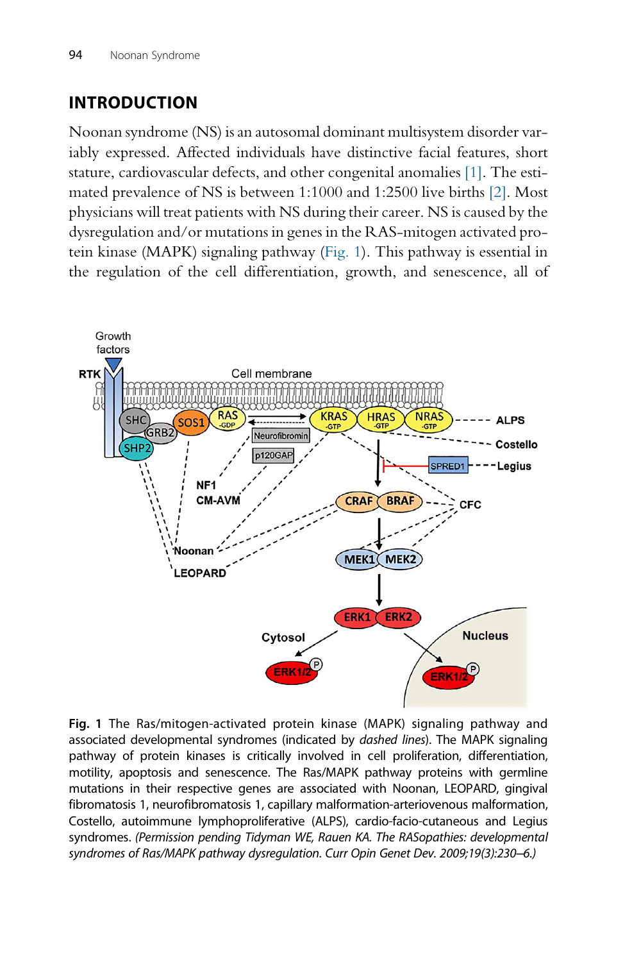# INTRODUCTION

Noonan syndrome (NS) is an autosomal dominant multisystem disorder variably expressed. Affected individuals have distinctive facial features, short stature, cardiovascular defects, and other congenital anomalies [\[1\]](#page-15-0). The estimated prevalence of NS is between 1:1000 and 1:2500 live births [\[2\]](#page-16-0). Most physicians will treat patients with NS during their career. NS is caused by the dysregulation and/or mutations in genes in the RAS-mitogen activated protein kinase (MAPK) signaling pathway (Fig. 1). This pathway is essential in the regulation of the cell differentiation, growth, and senescence, all of



Fig. 1 The Ras/mitogen-activated protein kinase (MAPK) signaling pathway and associated developmental syndromes (indicated by dashed lines). The MAPK signaling pathway of protein kinases is critically involved in cell proliferation, differentiation, motility, apoptosis and senescence. The Ras/MAPK pathway proteins with germline mutations in their respective genes are associated with Noonan, LEOPARD, gingival fibromatosis 1, neurofibromatosis 1, capillary malformation-arteriovenous malformation, Costello, autoimmune lymphoproliferative (ALPS), cardio-facio-cutaneous and Legius syndromes. (Permission pending Tidyman WE, Rauen KA. The RASopathies: developmental syndromes of Ras/MAPK pathway dysregulation. Curr Opin Genet Dev. 2009;19(3):230–6.)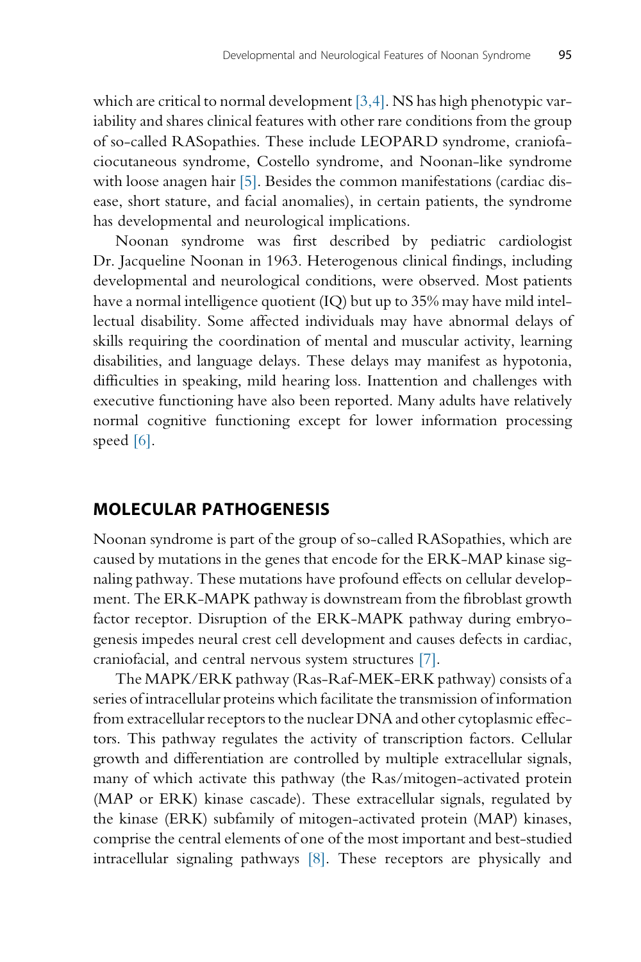which are critical to normal development  $[3,4]$ . NS has high phenotypic variability and shares clinical features with other rare conditions from the group of so-called RASopathies. These include LEOPARD syndrome, craniofaciocutaneous syndrome, Costello syndrome, and Noonan-like syndrome with loose anagen hair [\[5\]](#page-16-0). Besides the common manifestations (cardiac disease, short stature, and facial anomalies), in certain patients, the syndrome has developmental and neurological implications.

Noonan syndrome was first described by pediatric cardiologist Dr. Jacqueline Noonan in 1963. Heterogenous clinical findings, including developmental and neurological conditions, were observed. Most patients have a normal intelligence quotient (IQ) but up to 35% may have mild intellectual disability. Some affected individuals may have abnormal delays of skills requiring the coordination of mental and muscular activity, learning disabilities, and language delays. These delays may manifest as hypotonia, difficulties in speaking, mild hearing loss. Inattention and challenges with executive functioning have also been reported. Many adults have relatively normal cognitive functioning except for lower information processing speed [\[6\].](#page-16-0)

#### MOLECULAR PATHOGENESIS

Noonan syndrome is part of the group of so-called RASopathies, which are caused by mutations in the genes that encode for the ERK-MAP kinase signaling pathway. These mutations have profound effects on cellular development. The ERK-MAPK pathway is downstream from the fibroblast growth factor receptor. Disruption of the ERK-MAPK pathway during embryogenesis impedes neural crest cell development and causes defects in cardiac, craniofacial, and central nervous system structures [\[7\]](#page-16-0).

The MAPK/ERK pathway (Ras-Raf-MEK-ERK pathway) consists of a series of intracellular proteins which facilitate the transmission of information from extracellular receptors to the nuclear DNA and other cytoplasmic effectors. This pathway regulates the activity of transcription factors. Cellular growth and differentiation are controlled by multiple extracellular signals, many of which activate this pathway (the Ras/mitogen-activated protein (MAP or ERK) kinase cascade). These extracellular signals, regulated by the kinase (ERK) subfamily of mitogen-activated protein (MAP) kinases, comprise the central elements of one of the most important and best-studied intracellular signaling pathways [\[8\]](#page-16-0). These receptors are physically and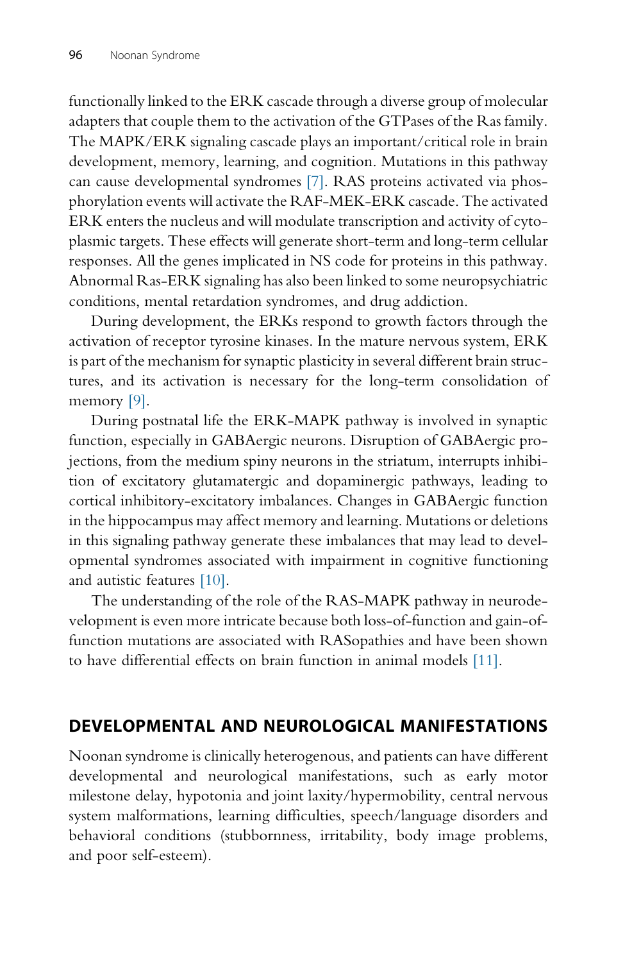functionally linked to the ERK cascade through a diverse group of molecular adapters that couple them to the activation of the GTPases of the Ras family. The MAPK/ERK signaling cascade plays an important/critical role in brain development, memory, learning, and cognition. Mutations in this pathway can cause developmental syndromes [\[7\]](#page-16-0). RAS proteins activated via phosphorylation events will activate the RAF-MEK-ERK cascade. The activated ERK enters the nucleus and will modulate transcription and activity of cytoplasmic targets. These effects will generate short-term and long-term cellular responses. All the genes implicated in NS code for proteins in this pathway. Abnormal Ras-ERK signaling has also been linked to some neuropsychiatric conditions, mental retardation syndromes, and drug addiction.

During development, the ERKs respond to growth factors through the activation of receptor tyrosine kinases. In the mature nervous system, ERK is part of the mechanism for synaptic plasticity in several different brain structures, and its activation is necessary for the long-term consolidation of memory [\[9\]](#page-16-0).

During postnatal life the ERK-MAPK pathway is involved in synaptic function, especially in GABAergic neurons. Disruption of GABAergic projections, from the medium spiny neurons in the striatum, interrupts inhibition of excitatory glutamatergic and dopaminergic pathways, leading to cortical inhibitory-excitatory imbalances. Changes in GABAergic function in the hippocampus may affect memory and learning. Mutations or deletions in this signaling pathway generate these imbalances that may lead to developmental syndromes associated with impairment in cognitive functioning and autistic features [\[10\].](#page-16-0)

The understanding of the role of the RAS-MAPK pathway in neurodevelopment is even more intricate because both loss-of-function and gain-offunction mutations are associated with RASopathies and have been shown to have differential effects on brain function in animal models [\[11\].](#page-16-0)

# DEVELOPMENTAL AND NEUROLOGICAL MANIFESTATIONS

Noonan syndrome is clinically heterogenous, and patients can have different developmental and neurological manifestations, such as early motor milestone delay, hypotonia and joint laxity/hypermobility, central nervous system malformations, learning difficulties, speech/language disorders and behavioral conditions (stubbornness, irritability, body image problems, and poor self-esteem).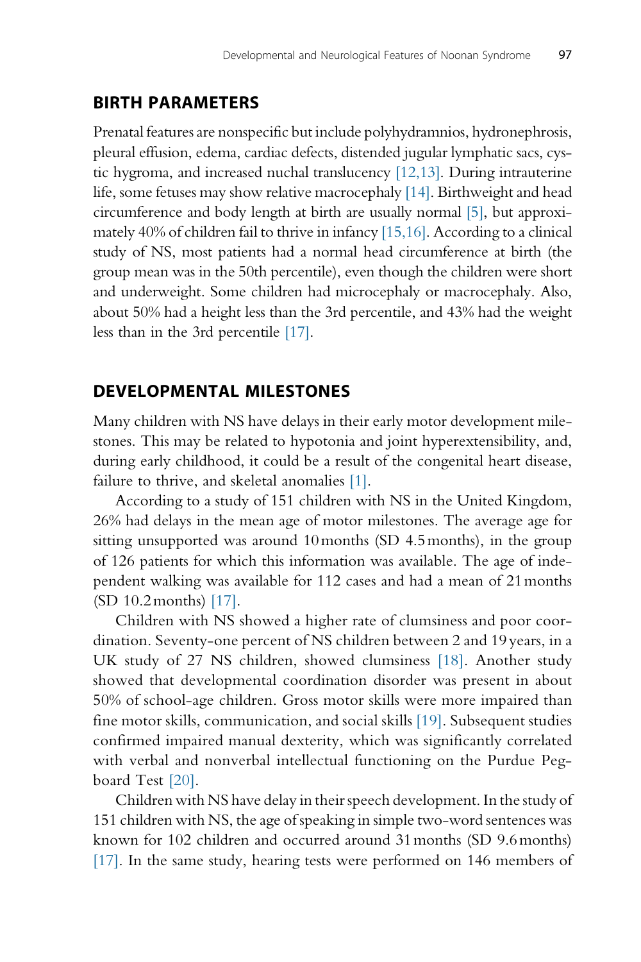#### BIRTH PARAMETERS

Prenatal features are nonspecific but include polyhydramnios, hydronephrosis, pleural effusion, edema, cardiac defects, distended jugular lymphatic sacs, cystic hygroma, and increased nuchal translucency [\[12,13\].](#page-16-0) During intrauterine life, some fetuses may show relative macrocephaly [\[14\].](#page-16-0) Birthweight and head circumference and body length at birth are usually normal [\[5\],](#page-16-0) but approximately 40% of children fail to thrive in infancy [\[15,16\]](#page-16-0). According to a clinical study of NS, most patients had a normal head circumference at birth (the group mean was in the 50th percentile), even though the children were short and underweight. Some children had microcephaly or macrocephaly. Also, about 50% had a height less than the 3rd percentile, and 43% had the weight less than in the 3rd percentile [\[17\].](#page-16-0)

#### DEVELOPMENTAL MILESTONES

Many children with NS have delays in their early motor development milestones. This may be related to hypotonia and joint hyperextensibility, and, during early childhood, it could be a result of the congenital heart disease, failure to thrive, and skeletal anomalies [\[1\]](#page-15-0).

According to a study of 151 children with NS in the United Kingdom, 26% had delays in the mean age of motor milestones. The average age for sitting unsupported was around 10months (SD 4.5months), in the group of 126 patients for which this information was available. The age of independent walking was available for 112 cases and had a mean of 21months (SD 10.2months) [\[17\]](#page-16-0).

Children with NS showed a higher rate of clumsiness and poor coordination. Seventy-one percent of NS children between 2 and 19 years, in a UK study of 27 NS children, showed clumsiness [\[18\].](#page-16-0) Another study showed that developmental coordination disorder was present in about 50% of school-age children. Gross motor skills were more impaired than fine motor skills, communication, and social skills [\[19\]](#page-16-0). Subsequent studies confirmed impaired manual dexterity, which was significantly correlated with verbal and nonverbal intellectual functioning on the Purdue Pegboard Test [\[20\]](#page-16-0).

Children with NS have delay in their speech development. In the study of 151 children with NS, the age of speaking in simple two-word sentences was known for 102 children and occurred around 31months (SD 9.6months) [\[17\]](#page-16-0). In the same study, hearing tests were performed on 146 members of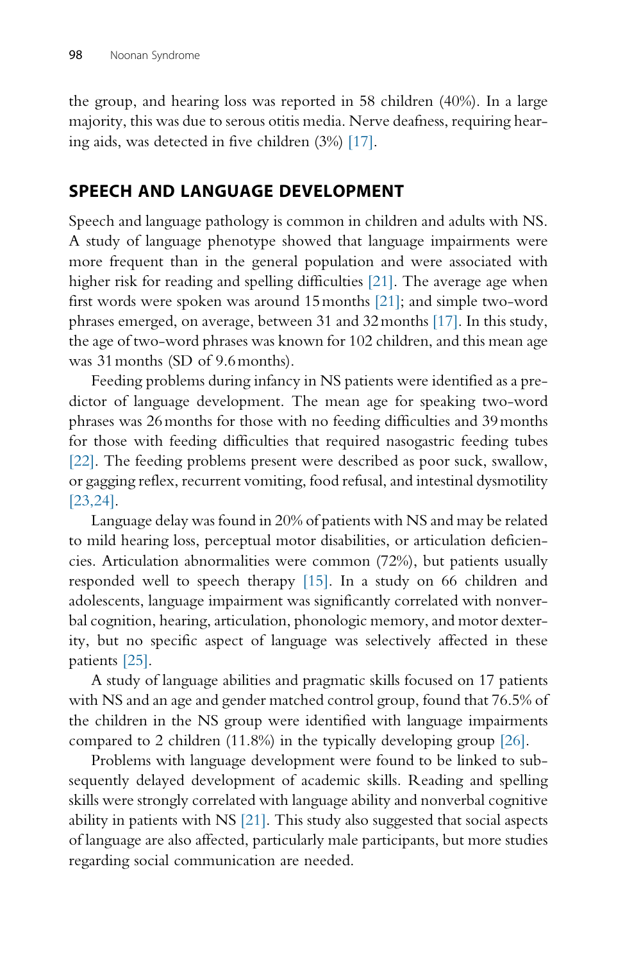the group, and hearing loss was reported in 58 children (40%). In a large majority, this was due to serous otitis media. Nerve deafness, requiring hearing aids, was detected in five children (3%) [\[17\].](#page-16-0)

## SPEECH AND LANGUAGE DEVELOPMENT

Speech and language pathology is common in children and adults with NS. A study of language phenotype showed that language impairments were more frequent than in the general population and were associated with higher risk for reading and spelling difficulties [\[21\]](#page-16-0). The average age when first words were spoken was around 15months [\[21\];](#page-16-0) and simple two-word phrases emerged, on average, between 31 and 32months [\[17\].](#page-16-0) In this study, the age of two-word phrases was known for 102 children, and this mean age was 31months (SD of 9.6months).

Feeding problems during infancy in NS patients were identified as a predictor of language development. The mean age for speaking two-word phrases was 26months for those with no feeding difficulties and 39months for those with feeding difficulties that required nasogastric feeding tubes [\[22\].](#page-16-0) The feeding problems present were described as poor suck, swallow, or gagging reflex, recurrent vomiting, food refusal, and intestinal dysmotility [\[23,24\]](#page-16-0).

Language delay was found in 20% of patients with NS and may be related to mild hearing loss, perceptual motor disabilities, or articulation deficiencies. Articulation abnormalities were common (72%), but patients usually responded well to speech therapy [\[15\]](#page-16-0). In a study on 66 children and adolescents, language impairment was significantly correlated with nonverbal cognition, hearing, articulation, phonologic memory, and motor dexterity, but no specific aspect of language was selectively affected in these patients [\[25\].](#page-17-0)

A study of language abilities and pragmatic skills focused on 17 patients with NS and an age and gender matched control group, found that 76.5% of the children in the NS group were identified with language impairments compared to 2 children (11.8%) in the typically developing group [\[26\]](#page-17-0).

Problems with language development were found to be linked to subsequently delayed development of academic skills. Reading and spelling skills were strongly correlated with language ability and nonverbal cognitive ability in patients with NS [\[21\]](#page-16-0). This study also suggested that social aspects of language are also affected, particularly male participants, but more studies regarding social communication are needed.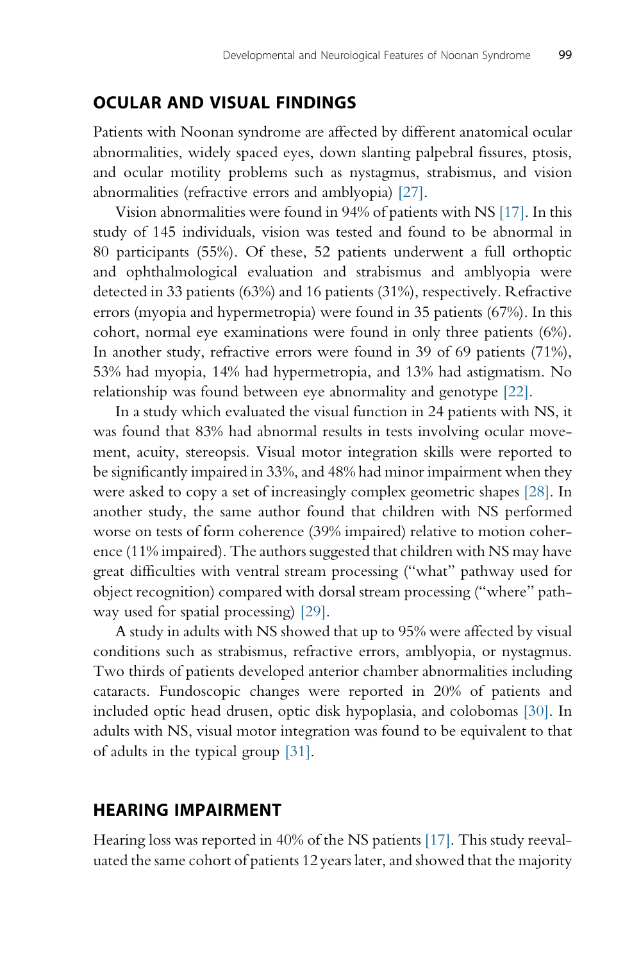#### OCULAR AND VISUAL FINDINGS

Patients with Noonan syndrome are affected by different anatomical ocular abnormalities, widely spaced eyes, down slanting palpebral fissures, ptosis, and ocular motility problems such as nystagmus, strabismus, and vision abnormalities (refractive errors and amblyopia) [\[27\].](#page-17-0)

Vision abnormalities were found in 94% of patients with NS [\[17\].](#page-16-0) In this study of 145 individuals, vision was tested and found to be abnormal in 80 participants (55%). Of these, 52 patients underwent a full orthoptic and ophthalmological evaluation and strabismus and amblyopia were detected in 33 patients (63%) and 16 patients (31%), respectively. Refractive errors (myopia and hypermetropia) were found in 35 patients (67%). In this cohort, normal eye examinations were found in only three patients (6%). In another study, refractive errors were found in 39 of 69 patients (71%), 53% had myopia, 14% had hypermetropia, and 13% had astigmatism. No relationship was found between eye abnormality and genotype [\[22\]](#page-16-0).

In a study which evaluated the visual function in 24 patients with NS, it was found that 83% had abnormal results in tests involving ocular movement, acuity, stereopsis. Visual motor integration skills were reported to be significantly impaired in 33%, and 48% had minor impairment when they were asked to copy a set of increasingly complex geometric shapes [\[28\]](#page-17-0). In another study, the same author found that children with NS performed worse on tests of form coherence (39% impaired) relative to motion coherence (11% impaired). The authors suggested that children with NS may have great difficulties with ventral stream processing ("what" pathway used for object recognition) compared with dorsal stream processing ("where" pathway used for spatial processing) [\[29\].](#page-17-0)

A study in adults with NS showed that up to 95% were affected by visual conditions such as strabismus, refractive errors, amblyopia, or nystagmus. Two thirds of patients developed anterior chamber abnormalities including cataracts. Fundoscopic changes were reported in 20% of patients and included optic head drusen, optic disk hypoplasia, and colobomas [\[30\].](#page-17-0) In adults with NS, visual motor integration was found to be equivalent to that of adults in the typical group [\[31\]](#page-17-0).

#### HEARING IMPAIRMENT

Hearing loss was reported in 40% of the NS patients [\[17\].](#page-16-0) This study reevaluated the same cohort of patients 12 years later, and showed that the majority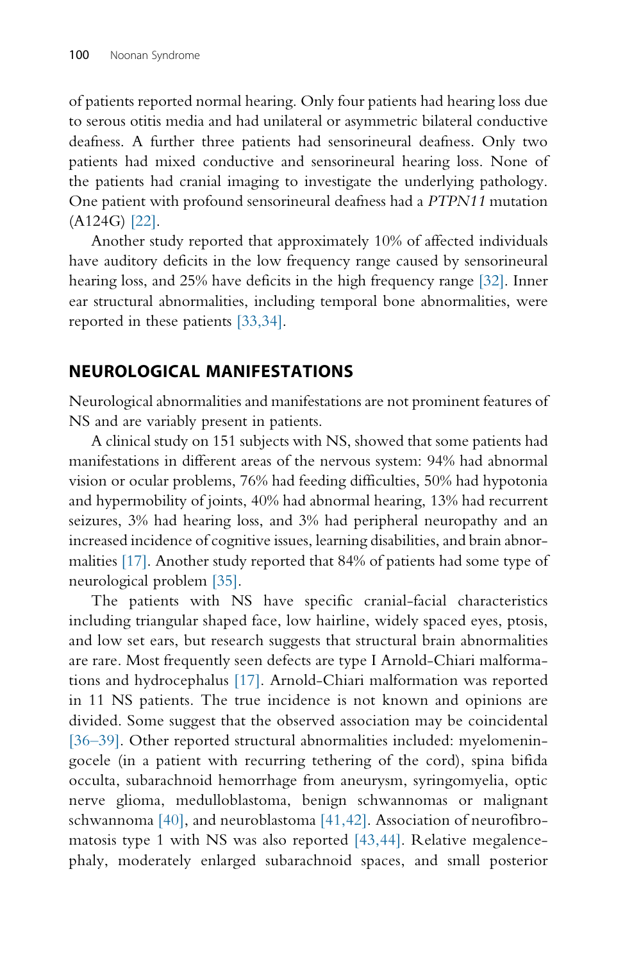of patients reported normal hearing. Only four patients had hearing loss due to serous otitis media and had unilateral or asymmetric bilateral conductive deafness. A further three patients had sensorineural deafness. Only two patients had mixed conductive and sensorineural hearing loss. None of the patients had cranial imaging to investigate the underlying pathology. One patient with profound sensorineural deafness had a PTPN11 mutation (A124G) [\[22\]](#page-16-0).

Another study reported that approximately 10% of affected individuals have auditory deficits in the low frequency range caused by sensorineural hearing loss, and 25% have deficits in the high frequency range [\[32\].](#page-17-0) Inner ear structural abnormalities, including temporal bone abnormalities, were reported in these patients [\[33,34\]](#page-17-0).

#### NEUROLOGICAL MANIFESTATIONS

Neurological abnormalities and manifestations are not prominent features of NS and are variably present in patients.

A clinical study on 151 subjects with NS, showed that some patients had manifestations in different areas of the nervous system: 94% had abnormal vision or ocular problems, 76% had feeding difficulties, 50% had hypotonia and hypermobility of joints, 40% had abnormal hearing, 13% had recurrent seizures, 3% had hearing loss, and 3% had peripheral neuropathy and an increased incidence of cognitive issues, learning disabilities, and brain abnormalities [\[17\]](#page-16-0). Another study reported that 84% of patients had some type of neurological problem [\[35\]](#page-17-0).

The patients with NS have specific cranial-facial characteristics including triangular shaped face, low hairline, widely spaced eyes, ptosis, and low set ears, but research suggests that structural brain abnormalities are rare. Most frequently seen defects are type I Arnold-Chiari malformations and hydrocephalus [\[17\]](#page-16-0). Arnold-Chiari malformation was reported in 11 NS patients. The true incidence is not known and opinions are divided. Some suggest that the observed association may be coincidental [36–[39\].](#page-17-0) Other reported structural abnormalities included: myelomeningocele (in a patient with recurring tethering of the cord), spina bifida occulta, subarachnoid hemorrhage from aneurysm, syringomyelia, optic nerve glioma, medulloblastoma, benign schwannomas or malignant schwannoma [\[40\]](#page-17-0), and neuroblastoma [\[41,42\]](#page-17-0). Association of neurofibromatosis type 1 with NS was also reported [\[43,44\]](#page-17-0). Relative megalencephaly, moderately enlarged subarachnoid spaces, and small posterior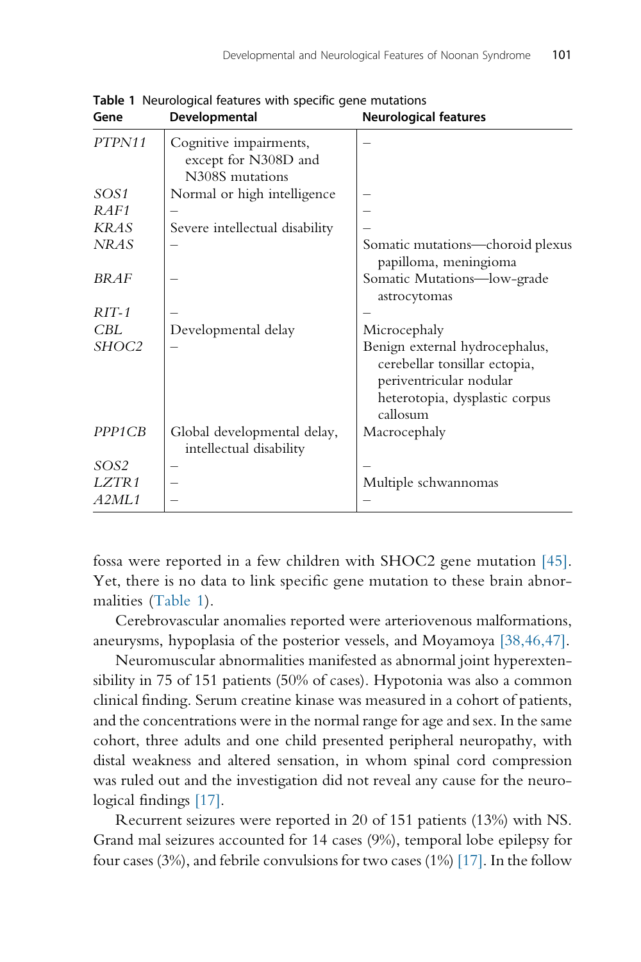| Gene                | Developmental                                          | <b>Neurological features</b>                                                                                                             |
|---------------------|--------------------------------------------------------|------------------------------------------------------------------------------------------------------------------------------------------|
| PTPN11              | Cognitive impairments,<br>except for N308D and         |                                                                                                                                          |
|                     | N308S mutations                                        |                                                                                                                                          |
| SOS1                | Normal or high intelligence                            |                                                                                                                                          |
| RAF1                |                                                        |                                                                                                                                          |
| <b>KRAS</b>         | Severe intellectual disability                         |                                                                                                                                          |
| <b>NRAS</b>         |                                                        | Somatic mutations—choroid plexus<br>papilloma, meningioma                                                                                |
| <b>BRAF</b>         |                                                        | Somatic Mutations-low-grade<br>astrocytomas                                                                                              |
| $RIT-1$             |                                                        |                                                                                                                                          |
| $\it{CBL}$          | Developmental delay                                    | Microcephaly                                                                                                                             |
| SHOC2               |                                                        | Benign external hydrocephalus,<br>cerebellar tonsillar ectopia,<br>periventricular nodular<br>heterotopia, dysplastic corpus<br>callosum |
| PPP <sub>1</sub> CB | Global developmental delay,<br>intellectual disability | Macrocephaly                                                                                                                             |
| SOS2                |                                                        |                                                                                                                                          |
| LZTR1               |                                                        | Multiple schwannomas                                                                                                                     |
| <i>A2ML1</i>        |                                                        |                                                                                                                                          |

Table 1 Neurological features with specific gene mutations

fossa were reported in a few children with SHOC2 gene mutation [\[45\].](#page-17-0) Yet, there is no data to link specific gene mutation to these brain abnormalities (Table 1).

Cerebrovascular anomalies reported were arteriovenous malformations, aneurysms, hypoplasia of the posterior vessels, and Moyamoya [\[38,46,47\]](#page-17-0).

Neuromuscular abnormalities manifested as abnormal joint hyperextensibility in 75 of 151 patients (50% of cases). Hypotonia was also a common clinical finding. Serum creatine kinase was measured in a cohort of patients, and the concentrations were in the normal range for age and sex. In the same cohort, three adults and one child presented peripheral neuropathy, with distal weakness and altered sensation, in whom spinal cord compression was ruled out and the investigation did not reveal any cause for the neurological findings [\[17\].](#page-16-0)

Recurrent seizures were reported in 20 of 151 patients (13%) with NS. Grand mal seizures accounted for 14 cases (9%), temporal lobe epilepsy for four cases (3%), and febrile convulsions for two cases (1%) [\[17\]](#page-16-0). In the follow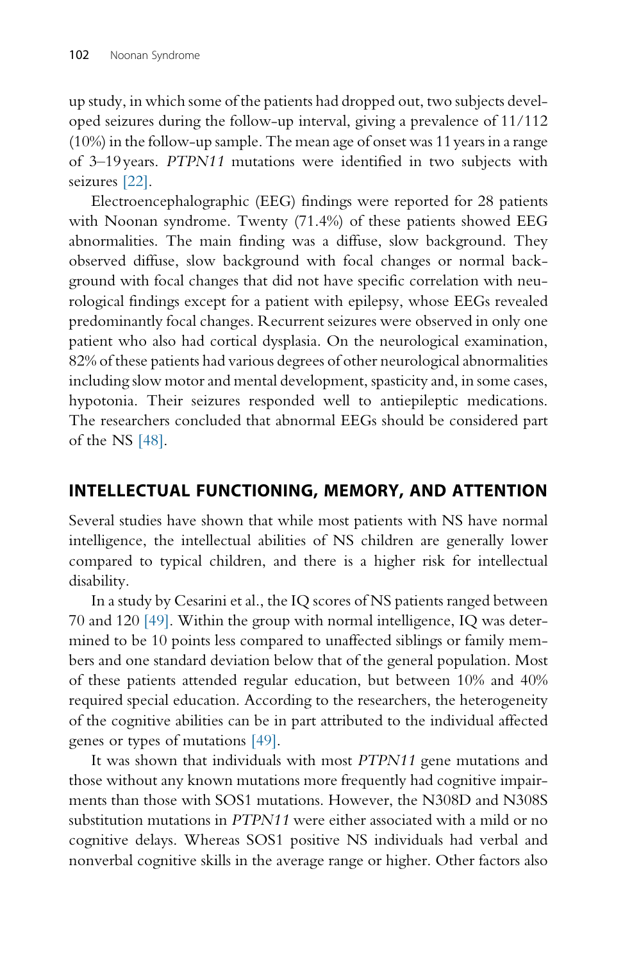up study, in which some of the patients had dropped out, two subjects developed seizures during the follow-up interval, giving a prevalence of 11/112 (10%) in the follow-up sample. The mean age of onset was 11 years in a range of 3–19 years. PTPN11 mutations were identified in two subjects with seizures [\[22\].](#page-16-0)

Electroencephalographic (EEG) findings were reported for 28 patients with Noonan syndrome. Twenty (71.4%) of these patients showed EEG abnormalities. The main finding was a diffuse, slow background. They observed diffuse, slow background with focal changes or normal background with focal changes that did not have specific correlation with neurological findings except for a patient with epilepsy, whose EEGs revealed predominantly focal changes. Recurrent seizures were observed in only one patient who also had cortical dysplasia. On the neurological examination, 82% of these patients had various degrees of other neurological abnormalities including slow motor and mental development, spasticity and, in some cases, hypotonia. Their seizures responded well to antiepileptic medications. The researchers concluded that abnormal EEGs should be considered part of the NS [\[48\]](#page-18-0).

#### INTELLECTUAL FUNCTIONING, MEMORY, AND ATTENTION

Several studies have shown that while most patients with NS have normal intelligence, the intellectual abilities of NS children are generally lower compared to typical children, and there is a higher risk for intellectual disability.

In a study by Cesarini et al., the IQ scores of NS patients ranged between 70 and 120 [\[49\]](#page-18-0). Within the group with normal intelligence, IQ was determined to be 10 points less compared to unaffected siblings or family members and one standard deviation below that of the general population. Most of these patients attended regular education, but between 10% and 40% required special education. According to the researchers, the heterogeneity of the cognitive abilities can be in part attributed to the individual affected genes or types of mutations [\[49\]](#page-18-0).

It was shown that individuals with most PTPN11 gene mutations and those without any known mutations more frequently had cognitive impairments than those with SOS1 mutations. However, the N308D and N308S substitution mutations in PTPN11 were either associated with a mild or no cognitive delays. Whereas SOS1 positive NS individuals had verbal and nonverbal cognitive skills in the average range or higher. Other factors also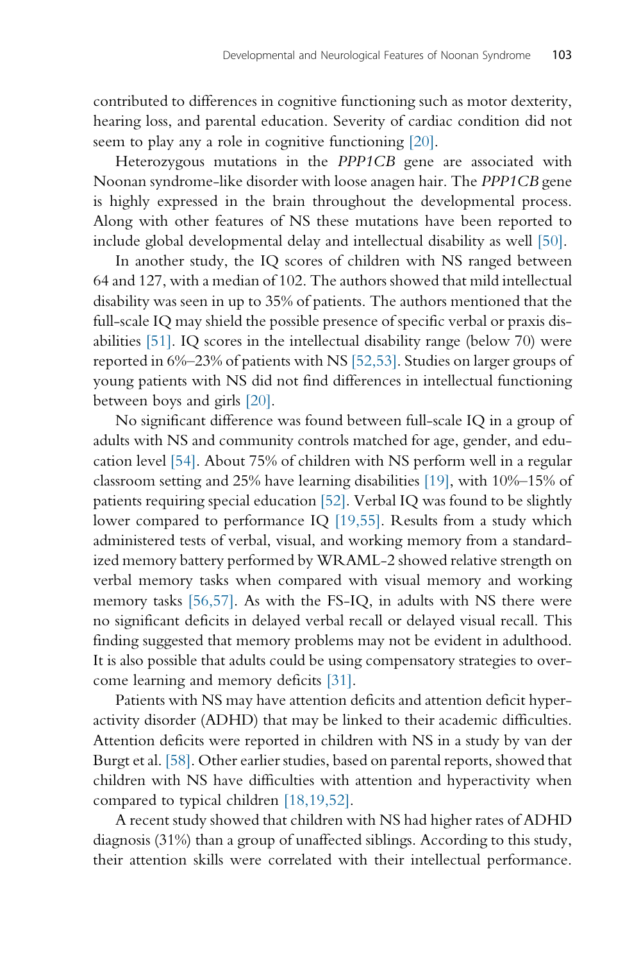contributed to differences in cognitive functioning such as motor dexterity, hearing loss, and parental education. Severity of cardiac condition did not seem to play any a role in cognitive functioning [\[20\].](#page-16-0)

Heterozygous mutations in the PPP1CB gene are associated with Noonan syndrome-like disorder with loose anagen hair. The PPP1CB gene is highly expressed in the brain throughout the developmental process. Along with other features of NS these mutations have been reported to include global developmental delay and intellectual disability as well [\[50\].](#page-18-0)

In another study, the IQ scores of children with NS ranged between 64 and 127, with a median of 102. The authors showed that mild intellectual disability was seen in up to 35% of patients. The authors mentioned that the full-scale IQ may shield the possible presence of specific verbal or praxis disabilities [\[51\].](#page-18-0) IQ scores in the intellectual disability range (below 70) were reported in 6%–23% of patients with NS [\[52,53\].](#page-18-0) Studies on larger groups of young patients with NS did not find differences in intellectual functioning between boys and girls [\[20\].](#page-16-0)

No significant difference was found between full-scale IQ in a group of adults with NS and community controls matched for age, gender, and education level [\[54\]](#page-18-0). About 75% of children with NS perform well in a regular classroom setting and 25% have learning disabilities [\[19\]](#page-16-0), with 10%–15% of patients requiring special education [\[52\]](#page-18-0). Verbal IQ was found to be slightly lower compared to performance IQ [\[19,55\].](#page-16-0) Results from a study which administered tests of verbal, visual, and working memory from a standardized memory battery performed by WRAML-2 showed relative strength on verbal memory tasks when compared with visual memory and working memory tasks [\[56,57\].](#page-18-0) As with the FS-IQ, in adults with NS there were no significant deficits in delayed verbal recall or delayed visual recall. This finding suggested that memory problems may not be evident in adulthood. It is also possible that adults could be using compensatory strategies to overcome learning and memory deficits [\[31\]](#page-17-0).

Patients with NS may have attention deficits and attention deficit hyperactivity disorder (ADHD) that may be linked to their academic difficulties. Attention deficits were reported in children with NS in a study by van der Burgt et al. [\[58\].](#page-18-0) Other earlier studies, based on parental reports, showed that children with NS have difficulties with attention and hyperactivity when compared to typical children [\[18,19,52\].](#page-16-0)

A recent study showed that children with NS had higher rates of ADHD diagnosis (31%) than a group of unaffected siblings. According to this study, their attention skills were correlated with their intellectual performance.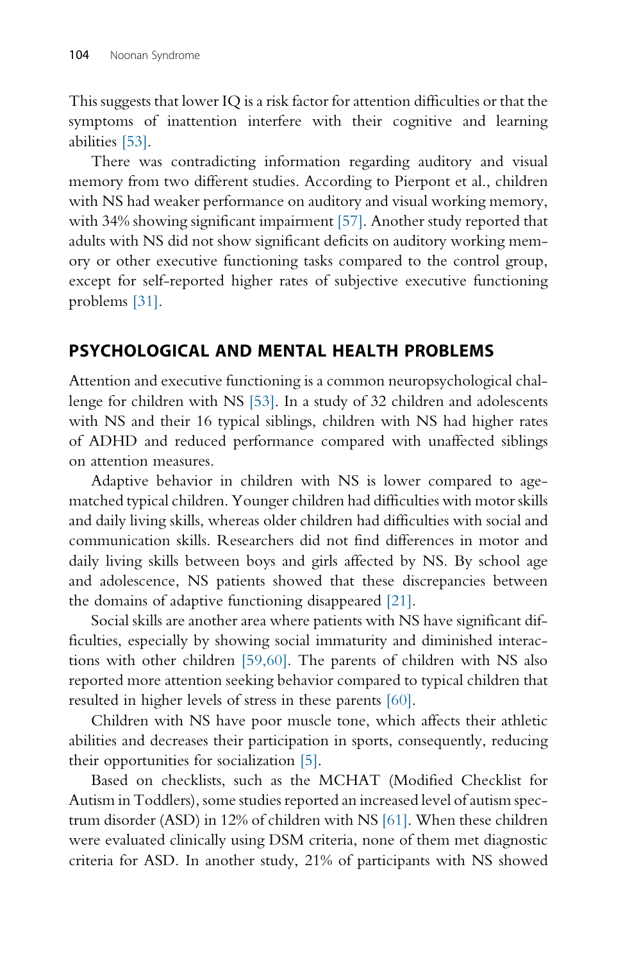This suggests that lower IQ is a risk factor for attention difficulties or that the symptoms of inattention interfere with their cognitive and learning abilities [\[53\]](#page-18-0).

There was contradicting information regarding auditory and visual memory from two different studies. According to Pierpont et al., children with NS had weaker performance on auditory and visual working memory, with 34% showing significant impairment [\[57\].](#page-18-0) Another study reported that adults with NS did not show significant deficits on auditory working memory or other executive functioning tasks compared to the control group, except for self-reported higher rates of subjective executive functioning problems [\[31\].](#page-17-0)

## PSYCHOLOGICAL AND MENTAL HEALTH PROBLEMS

Attention and executive functioning is a common neuropsychological challenge for children with NS [\[53\]](#page-18-0). In a study of 32 children and adolescents with NS and their 16 typical siblings, children with NS had higher rates of ADHD and reduced performance compared with unaffected siblings on attention measures.

Adaptive behavior in children with NS is lower compared to agematched typical children. Younger children had difficulties with motor skills and daily living skills, whereas older children had difficulties with social and communication skills. Researchers did not find differences in motor and daily living skills between boys and girls affected by NS. By school age and adolescence, NS patients showed that these discrepancies between the domains of adaptive functioning disappeared [\[21\].](#page-16-0)

Social skills are another area where patients with NS have significant difficulties, especially by showing social immaturity and diminished interactions with other children [\[59,60\].](#page-18-0) The parents of children with NS also reported more attention seeking behavior compared to typical children that resulted in higher levels of stress in these parents [\[60\].](#page-18-0)

Children with NS have poor muscle tone, which affects their athletic abilities and decreases their participation in sports, consequently, reducing their opportunities for socialization [\[5\]](#page-16-0).

Based on checklists, such as the MCHAT (Modified Checklist for Autism in Toddlers), some studies reported an increased level of autism spectrum disorder (ASD) in 12% of children with NS [\[61\].](#page-18-0) When these children were evaluated clinically using DSM criteria, none of them met diagnostic criteria for ASD. In another study, 21% of participants with NS showed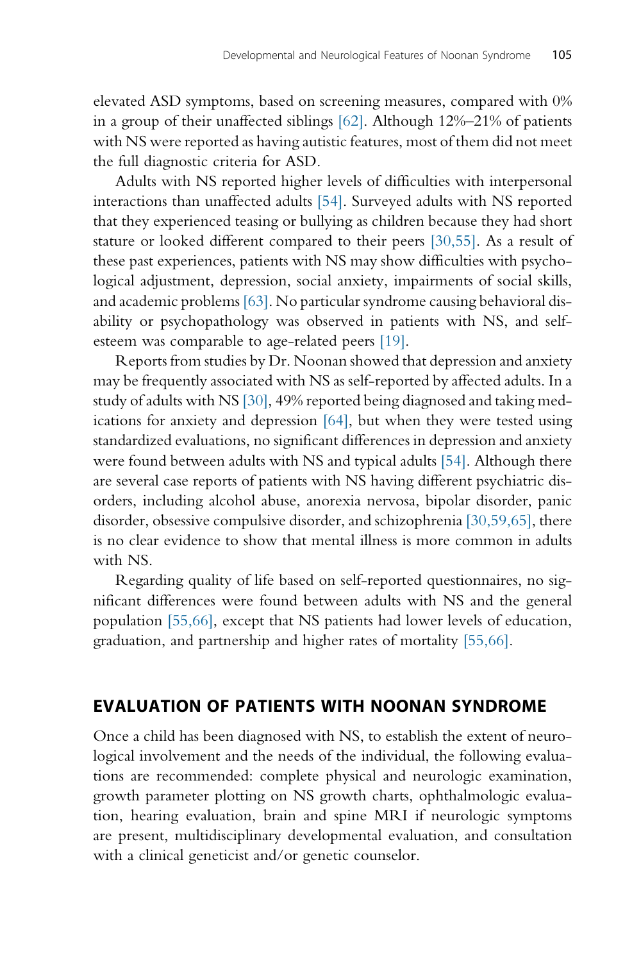elevated ASD symptoms, based on screening measures, compared with 0% in a group of their unaffected siblings [\[62\]](#page-18-0). Although 12%–21% of patients with NS were reported as having autistic features, most of them did not meet the full diagnostic criteria for ASD.

Adults with NS reported higher levels of difficulties with interpersonal interactions than unaffected adults [\[54\]](#page-18-0). Surveyed adults with NS reported that they experienced teasing or bullying as children because they had short stature or looked different compared to their peers [\[30,55\].](#page-17-0) As a result of these past experiences, patients with NS may show difficulties with psychological adjustment, depression, social anxiety, impairments of social skills, and academic problems [\[63\]](#page-18-0). No particular syndrome causing behavioral disability or psychopathology was observed in patients with NS, and selfesteem was comparable to age-related peers [\[19\]](#page-16-0).

Reports from studies by Dr. Noonan showed that depression and anxiety may be frequently associated with NS as self-reported by affected adults. In a study of adults with NS [\[30\],](#page-17-0) 49% reported being diagnosed and taking medications for anxiety and depression [\[64\],](#page-18-0) but when they were tested using standardized evaluations, no significant differences in depression and anxiety were found between adults with NS and typical adults [\[54\]](#page-18-0). Although there are several case reports of patients with NS having different psychiatric disorders, including alcohol abuse, anorexia nervosa, bipolar disorder, panic disorder, obsessive compulsive disorder, and schizophrenia [\[30,59,65\]](#page-17-0), there is no clear evidence to show that mental illness is more common in adults with NS.

Regarding quality of life based on self-reported questionnaires, no significant differences were found between adults with NS and the general population [\[55,66\],](#page-18-0) except that NS patients had lower levels of education, graduation, and partnership and higher rates of mortality [\[55,66\]](#page-18-0).

#### EVALUATION OF PATIENTS WITH NOONAN SYNDROME

Once a child has been diagnosed with NS, to establish the extent of neurological involvement and the needs of the individual, the following evaluations are recommended: complete physical and neurologic examination, growth parameter plotting on NS growth charts, ophthalmologic evaluation, hearing evaluation, brain and spine MRI if neurologic symptoms are present, multidisciplinary developmental evaluation, and consultation with a clinical geneticist and/or genetic counselor.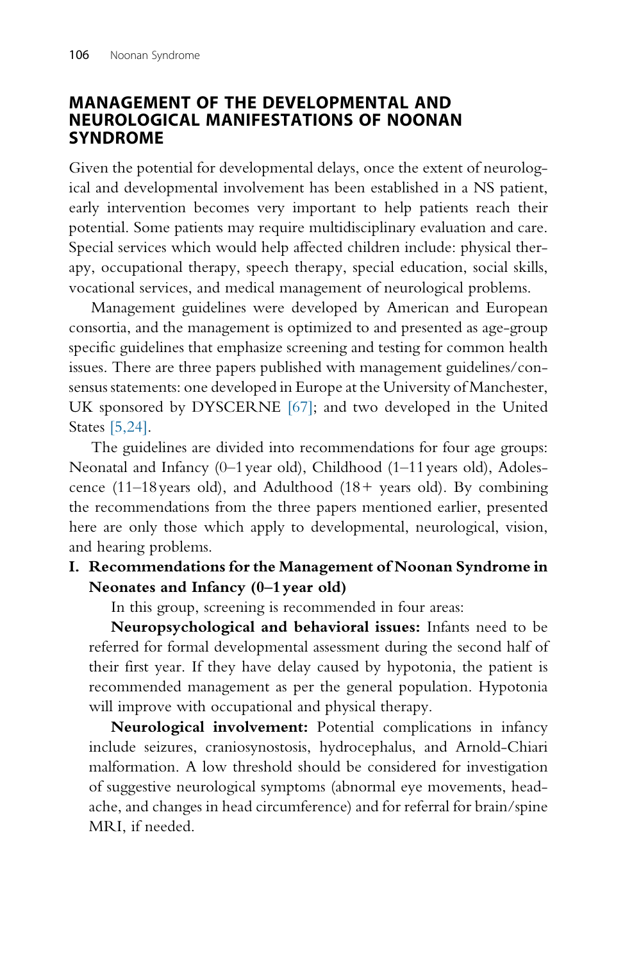#### MANAGEMENT OF THE DEVELOPMENTAL AND NEUROLOGICAL MANIFESTATIONS OF NOONAN SYNDROME

Given the potential for developmental delays, once the extent of neurological and developmental involvement has been established in a NS patient, early intervention becomes very important to help patients reach their potential. Some patients may require multidisciplinary evaluation and care. Special services which would help affected children include: physical therapy, occupational therapy, speech therapy, special education, social skills, vocational services, and medical management of neurological problems.

Management guidelines were developed by American and European consortia, and the management is optimized to and presented as age-group specific guidelines that emphasize screening and testing for common health issues. There are three papers published with management guidelines/consensus statements: one developed in Europe at the University of Manchester, UK sponsored by DYSCERNE [\[67\];](#page-18-0) and two developed in the United States [\[5,24\]](#page-16-0).

The guidelines are divided into recommendations for four age groups: Neonatal and Infancy (0–1 year old), Childhood (1–11 years old), Adolescence (11–18 years old), and Adulthood (18+ years old). By combining the recommendations from the three papers mentioned earlier, presented here are only those which apply to developmental, neurological, vision, and hearing problems.

#### I. Recommendations for the Management of Noonan Syndrome in Neonates and Infancy (0–1 year old)

In this group, screening is recommended in four areas:

Neuropsychological and behavioral issues: Infants need to be referred for formal developmental assessment during the second half of their first year. If they have delay caused by hypotonia, the patient is recommended management as per the general population. Hypotonia will improve with occupational and physical therapy.

Neurological involvement: Potential complications in infancy include seizures, craniosynostosis, hydrocephalus, and Arnold-Chiari malformation. A low threshold should be considered for investigation of suggestive neurological symptoms (abnormal eye movements, headache, and changes in head circumference) and for referral for brain/spine MRI, if needed.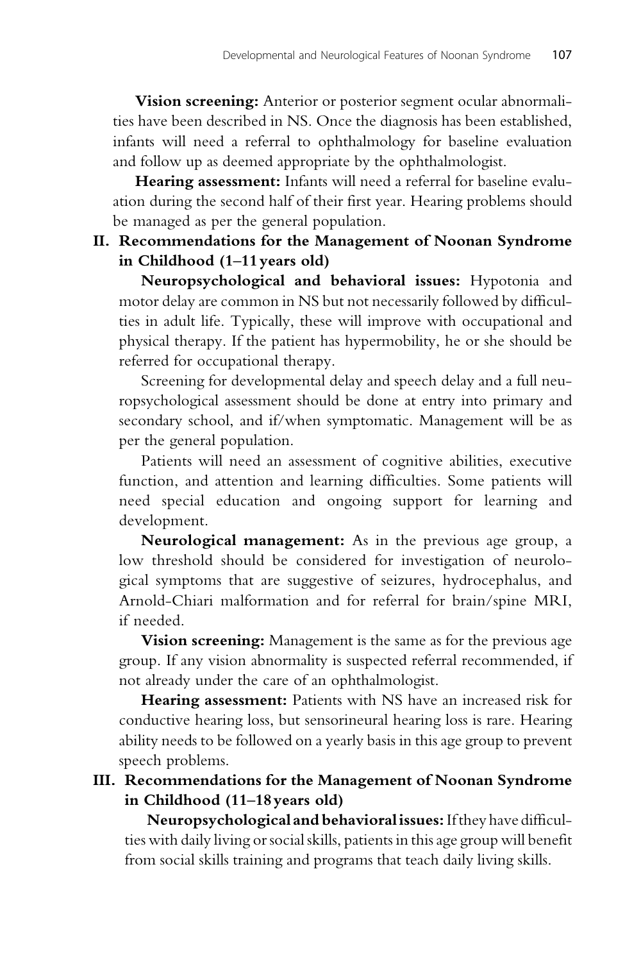Vision screening: Anterior or posterior segment ocular abnormalities have been described in NS. Once the diagnosis has been established, infants will need a referral to ophthalmology for baseline evaluation and follow up as deemed appropriate by the ophthalmologist.

Hearing assessment: Infants will need a referral for baseline evaluation during the second half of their first year. Hearing problems should be managed as per the general population.

#### II. Recommendations for the Management of Noonan Syndrome in Childhood (1–11 years old)

Neuropsychological and behavioral issues: Hypotonia and motor delay are common in NS but not necessarily followed by difficulties in adult life. Typically, these will improve with occupational and physical therapy. If the patient has hypermobility, he or she should be referred for occupational therapy.

Screening for developmental delay and speech delay and a full neuropsychological assessment should be done at entry into primary and secondary school, and if/when symptomatic. Management will be as per the general population.

Patients will need an assessment of cognitive abilities, executive function, and attention and learning difficulties. Some patients will need special education and ongoing support for learning and development.

Neurological management: As in the previous age group, a low threshold should be considered for investigation of neurological symptoms that are suggestive of seizures, hydrocephalus, and Arnold-Chiari malformation and for referral for brain/spine MRI, if needed.

**Vision screening:** Management is the same as for the previous age group. If any vision abnormality is suspected referral recommended, if not already under the care of an ophthalmologist.

Hearing assessment: Patients with NS have an increased risk for conductive hearing loss, but sensorineural hearing loss is rare. Hearing ability needs to be followed on a yearly basis in this age group to prevent speech problems.

#### III. Recommendations for the Management of Noonan Syndrome in Childhood (11–18 years old)

Neuropsychological and behavioral issues: If they have difficulties with daily living or social skills, patients in this age group will benefit from social skills training and programs that teach daily living skills.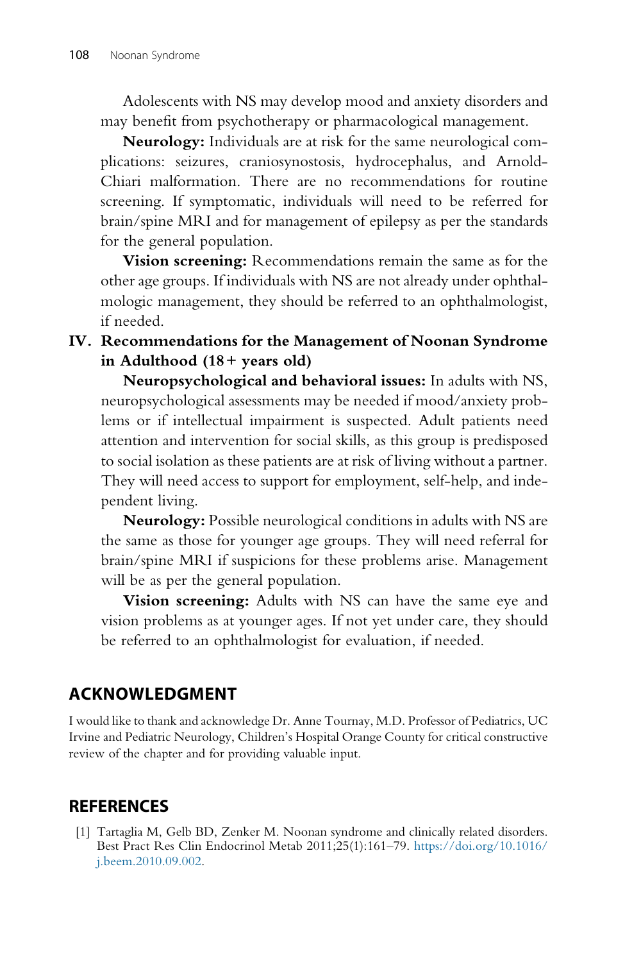<span id="page-15-0"></span>Adolescents with NS may develop mood and anxiety disorders and may benefit from psychotherapy or pharmacological management.

Neurology: Individuals are at risk for the same neurological complications: seizures, craniosynostosis, hydrocephalus, and Arnold-Chiari malformation. There are no recommendations for routine screening. If symptomatic, individuals will need to be referred for brain/spine MRI and for management of epilepsy as per the standards for the general population.

Vision screening: Recommendations remain the same as for the other age groups. If individuals with NS are not already under ophthalmologic management, they should be referred to an ophthalmologist, if needed.

IV. Recommendations for the Management of Noonan Syndrome in Adulthood (18+ years old)

Neuropsychological and behavioral issues: In adults with NS, neuropsychological assessments may be needed if mood/anxiety problems or if intellectual impairment is suspected. Adult patients need attention and intervention for social skills, as this group is predisposed to social isolation as these patients are at risk of living without a partner. They will need access to support for employment, self-help, and independent living.

Neurology: Possible neurological conditions in adults with NS are the same as those for younger age groups. They will need referral for brain/spine MRI if suspicions for these problems arise. Management will be as per the general population.

Vision screening: Adults with NS can have the same eye and vision problems as at younger ages. If not yet under care, they should be referred to an ophthalmologist for evaluation, if needed.

# ACKNOWLEDGMENT

I would like to thank and acknowledge Dr. Anne Tournay, M.D. Professor of Pediatrics, UC Irvine and Pediatric Neurology, Children's Hospital Orange County for critical constructive review of the chapter and for providing valuable input.

# **REFERENCES**

[1] Tartaglia M, Gelb BD, Zenker M. Noonan syndrome and clinically related disorders. Best Pract Res Clin Endocrinol Metab 2011;25(1):161–79. [https://doi.org/10.1016/](https://doi.org/10.1016/j.beem.2010.09.002) [j.beem.2010.09.002.](https://doi.org/10.1016/j.beem.2010.09.002)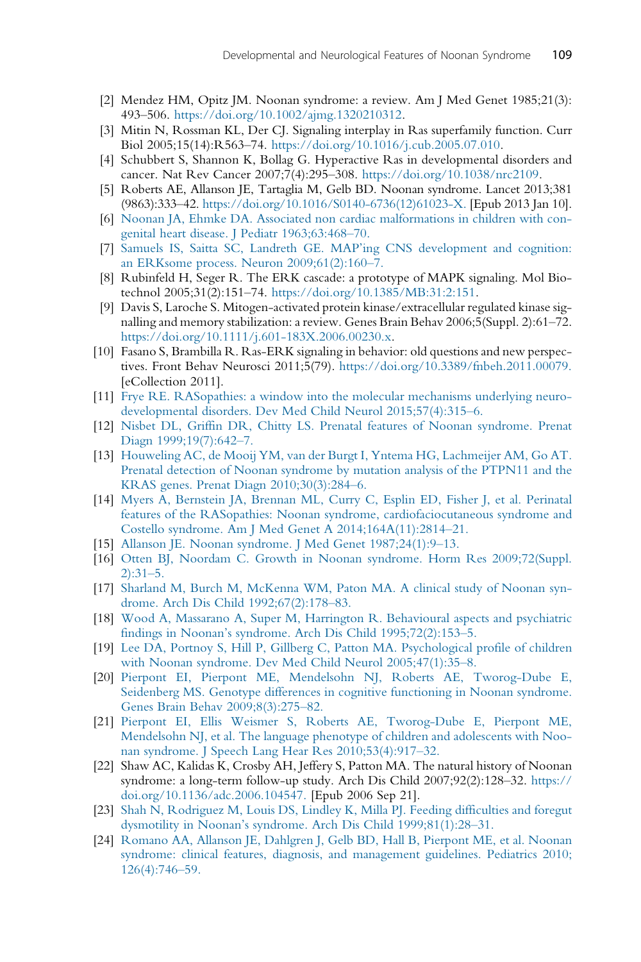- <span id="page-16-0"></span>[2] Mendez HM, Opitz JM. Noonan syndrome: a review. Am J Med Genet 1985;21(3): 493–506. [https://doi.org/10.1002/ajmg.1320210312.](https://doi.org/10.1002/ajmg.1320210312)
- [3] Mitin N, Rossman KL, Der CJ. Signaling interplay in Ras superfamily function. Curr Biol 2005;15(14):R563–74. <https://doi.org/10.1016/j.cub.2005.07.010>.
- [4] Schubbert S, Shannon K, Bollag G. Hyperactive Ras in developmental disorders and cancer. Nat Rev Cancer 2007;7(4):295–308. <https://doi.org/10.1038/nrc2109>.
- [5] Roberts AE, Allanson JE, Tartaglia M, Gelb BD. Noonan syndrome. Lancet 2013;381 (9863):333–42. [https://doi.org/10.1016/S0140-6736\(12\)61023-X.](https://doi.org/10.1016/S0140-6736(12)61023-X) [Epub 2013 Jan 10].
- [6] [Noonan JA, Ehmke DA. Associated non cardiac malformations in children with con](http://refhub.elsevier.com/B978-0-12-815348-2.00006-2/rf0035)[genital heart disease. J Pediatr 1963;63:468](http://refhub.elsevier.com/B978-0-12-815348-2.00006-2/rf0035)–70.
- [7] [Samuels IS, Saitta SC, Landreth GE. MAP'ing CNS development and cognition:](http://refhub.elsevier.com/B978-0-12-815348-2.00006-2/rf0040) [an ERKsome process. Neuron 2009;61\(2\):160](http://refhub.elsevier.com/B978-0-12-815348-2.00006-2/rf0040)–7.
- [8] Rubinfeld H, Seger R. The ERK cascade: a prototype of MAPK signaling. Mol Biotechnol 2005;31(2):151–74. <https://doi.org/10.1385/MB:31:2:151>.
- [9] Davis S, Laroche S. Mitogen-activated protein kinase/extracellular regulated kinase signalling and memory stabilization: a review. Genes Brain Behav 2006;5(Suppl. 2):61–72. [https://doi.org/10.1111/j.601-183X.2006.00230.x.](https://doi.org/10.1111/j.601-183X.2006.00230.x)
- [10] Fasano S, Brambilla R. Ras-ERK signaling in behavior: old questions and new perspectives. Front Behav Neurosci 2011;5(79). [https://doi.org/10.3389/fnbeh.2011.00079.](https://doi.org/10.3389/fnbeh.2011.00079) [eCollection 2011].
- [11] [Frye RE. RASopathies: a window into the molecular mechanisms underlying neuro](http://refhub.elsevier.com/B978-0-12-815348-2.00006-2/rf0060)[developmental disorders. Dev Med Child Neurol 2015;57\(4\):315](http://refhub.elsevier.com/B978-0-12-815348-2.00006-2/rf0060)–6.
- [12] [Nisbet DL, Griffin DR, Chitty LS. Prenatal features of Noonan syndrome. Prenat](http://refhub.elsevier.com/B978-0-12-815348-2.00006-2/rf0065) [Diagn 1999;19\(7\):642](http://refhub.elsevier.com/B978-0-12-815348-2.00006-2/rf0065)–7.
- [13] [Houweling AC, de Mooij YM, van der Burgt I, Yntema HG, Lachmeijer AM, Go AT.](http://refhub.elsevier.com/B978-0-12-815348-2.00006-2/rf0070) [Prenatal detection of Noonan syndrome by mutation analysis of the PTPN11 and the](http://refhub.elsevier.com/B978-0-12-815348-2.00006-2/rf0070) [KRAS genes. Prenat Diagn 2010;30\(3\):284](http://refhub.elsevier.com/B978-0-12-815348-2.00006-2/rf0070)–6.
- [14] [Myers A, Bernstein JA, Brennan ML, Curry C, Esplin ED, Fisher J, et al. Perinatal](http://refhub.elsevier.com/B978-0-12-815348-2.00006-2/rf0075) [features of the RASopathies: Noonan syndrome, cardiofaciocutaneous syndrome and](http://refhub.elsevier.com/B978-0-12-815348-2.00006-2/rf0075) [Costello syndrome. Am J Med Genet A 2014;164A\(11\):2814](http://refhub.elsevier.com/B978-0-12-815348-2.00006-2/rf0075)–21.
- [15] [Allanson JE. Noonan syndrome. J Med Genet 1987;24\(1\):9](http://refhub.elsevier.com/B978-0-12-815348-2.00006-2/rf0080)–13.
- [16] [Otten BJ, Noordam C. Growth in Noonan syndrome. Horm Res 2009;72\(Suppl.](http://refhub.elsevier.com/B978-0-12-815348-2.00006-2/rf0085) [2\):31](http://refhub.elsevier.com/B978-0-12-815348-2.00006-2/rf0085)–5.
- [17] [Sharland M, Burch M, McKenna WM, Paton MA. A clinical study of Noonan syn](http://refhub.elsevier.com/B978-0-12-815348-2.00006-2/rf0090)[drome. Arch Dis Child 1992;67\(2\):178](http://refhub.elsevier.com/B978-0-12-815348-2.00006-2/rf0090)–83.
- [18] [Wood A, Massarano A, Super M, Harrington R. Behavioural aspects and psychiatric](http://refhub.elsevier.com/B978-0-12-815348-2.00006-2/rf0095) [findings in Noonan's syndrome. Arch Dis Child 1995;72\(2\):153](http://refhub.elsevier.com/B978-0-12-815348-2.00006-2/rf0095)–5.
- [19] [Lee DA, Portnoy S, Hill P, Gillberg C, Patton MA. Psychological profile of children](http://refhub.elsevier.com/B978-0-12-815348-2.00006-2/rf0100) [with Noonan syndrome. Dev Med Child Neurol 2005;47\(1\):35](http://refhub.elsevier.com/B978-0-12-815348-2.00006-2/rf0100)–8.
- [20] [Pierpont EI, Pierpont ME, Mendelsohn NJ, Roberts AE, Tworog-Dube E,](http://refhub.elsevier.com/B978-0-12-815348-2.00006-2/rf0105) [Seidenberg MS. Genotype differences in cognitive functioning in Noonan syndrome.](http://refhub.elsevier.com/B978-0-12-815348-2.00006-2/rf0105) [Genes Brain Behav 2009;8\(3\):275](http://refhub.elsevier.com/B978-0-12-815348-2.00006-2/rf0105)–82.
- [21] Pierpont [EI, Ellis Weismer S, Roberts AE, Tworog-Dube E, Pierpont ME,](http://refhub.elsevier.com/B978-0-12-815348-2.00006-2/rf0110) [Mendelsohn NJ, et al. The language phenotype of children and adolescents with Noo](http://refhub.elsevier.com/B978-0-12-815348-2.00006-2/rf0110)[nan syndrome. J Speech Lang Hear Res 2010;53\(4\):917](http://refhub.elsevier.com/B978-0-12-815348-2.00006-2/rf0110)–32.
- [22] Shaw AC, Kalidas K, Crosby AH, Jeffery S, Patton MA. The natural history of Noonan syndrome: a long-term follow-up study. Arch Dis Child 2007;92(2):128–32. [https://](https://doi.org/10.1136/adc.2006.104547) [doi.org/10.1136/adc.2006.104547.](https://doi.org/10.1136/adc.2006.104547) [Epub 2006 Sep 21].
- [23] [Shah N, Rodriguez M, Louis DS, Lindley K, Milla PJ. Feeding difficulties and foregut](http://refhub.elsevier.com/B978-0-12-815348-2.00006-2/rf0120) [dysmotility in Noonan's syndrome. Arch Dis Child 1999;81\(1\):28](http://refhub.elsevier.com/B978-0-12-815348-2.00006-2/rf0120)–31.
- [24] [Romano AA, Allanson JE, Dahlgren J, Gelb BD, Hall B, Pierpont ME, et al. Noonan](http://refhub.elsevier.com/B978-0-12-815348-2.00006-2/rf0125) [syndrome: clinical features, diagnosis, and management guidelines. Pediatrics 2010;](http://refhub.elsevier.com/B978-0-12-815348-2.00006-2/rf0125) [126\(4\):746](http://refhub.elsevier.com/B978-0-12-815348-2.00006-2/rf0125)–59.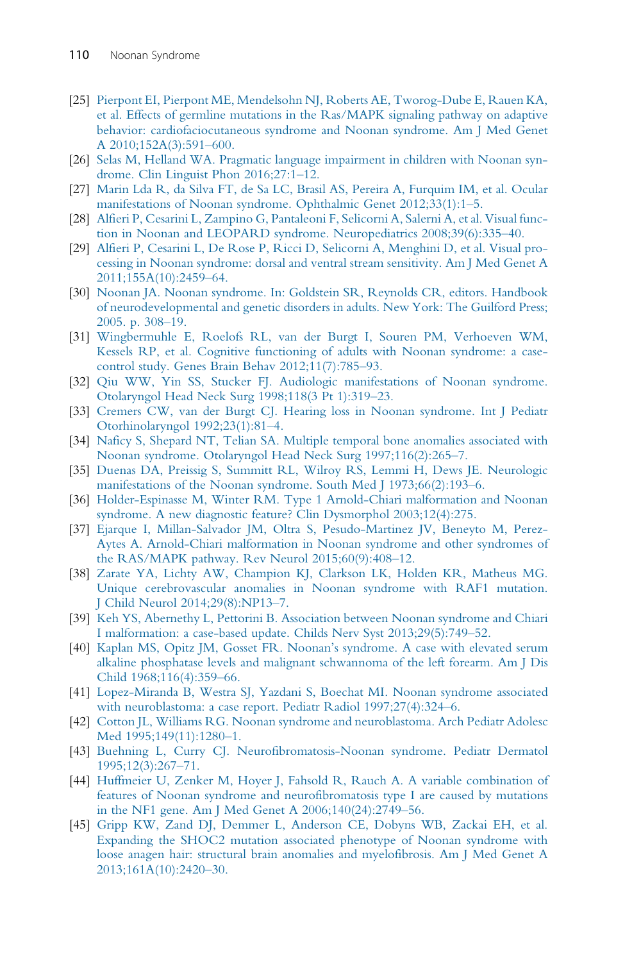- <span id="page-17-0"></span>[25] [Pierpont EI, Pierpont ME, Mendelsohn NJ, Roberts AE, Tworog-Dube E, Rauen KA,](http://refhub.elsevier.com/B978-0-12-815348-2.00006-2/rf0130) [et al. Effects of germline mutations in the Ras/MAPK signaling pathway on adaptive](http://refhub.elsevier.com/B978-0-12-815348-2.00006-2/rf0130) [behavior: cardiofaciocutaneous syndrome and Noonan syndrome. Am J Med Genet](http://refhub.elsevier.com/B978-0-12-815348-2.00006-2/rf0130) [A 2010;152A\(3\):591](http://refhub.elsevier.com/B978-0-12-815348-2.00006-2/rf0130)–600.
- [26] [Selas M, Helland WA. Pragmatic language impairment in children with Noonan syn](http://refhub.elsevier.com/B978-0-12-815348-2.00006-2/rf0135)[drome. Clin Linguist Phon 2016;27:1](http://refhub.elsevier.com/B978-0-12-815348-2.00006-2/rf0135)–12.
- [27] [Marin Lda R, da Silva FT, de Sa LC, Brasil AS, Pereira A, Furquim IM, et al. Ocular](http://refhub.elsevier.com/B978-0-12-815348-2.00006-2/rf0140) [manifestations of Noonan syndrome. Ophthalmic Genet 2012;33\(1\):1](http://refhub.elsevier.com/B978-0-12-815348-2.00006-2/rf0140)–5.
- [28] [Alfieri P, Cesarini L, Zampino G, Pantaleoni F, Selicorni A, Salerni A, et al. Visual func](http://refhub.elsevier.com/B978-0-12-815348-2.00006-2/rf0145)[tion in Noonan and LEOPARD syndrome. Neuropediatrics 2008;39\(6\):335](http://refhub.elsevier.com/B978-0-12-815348-2.00006-2/rf0145)–40.
- [29] [Alfieri P, Cesarini L, De Rose P, Ricci D, Selicorni A, Menghini D, et al. Visual pro](http://refhub.elsevier.com/B978-0-12-815348-2.00006-2/rf0150)[cessing in Noonan syndrome: dorsal and ventral stream sensitivity. Am J Med Genet A](http://refhub.elsevier.com/B978-0-12-815348-2.00006-2/rf0150) [2011;155A\(10\):2459](http://refhub.elsevier.com/B978-0-12-815348-2.00006-2/rf0150)–64.
- [30] [Noonan JA. Noonan syndrome. In: Goldstein SR, Reynolds CR, editors. Handbook](http://refhub.elsevier.com/B978-0-12-815348-2.00006-2/rf0155) [of neurodevelopmental and genetic disorders in adults. New York: The Guilford Press;](http://refhub.elsevier.com/B978-0-12-815348-2.00006-2/rf0155) [2005. p. 308](http://refhub.elsevier.com/B978-0-12-815348-2.00006-2/rf0155)–19.
- [31] [Wingbermuhle E, Roelofs RL, van der Burgt I, Souren PM, Verhoeven WM,](http://refhub.elsevier.com/B978-0-12-815348-2.00006-2/rf0160) [Kessels RP, et al. Cognitive functioning of adults with Noonan syndrome: a case](http://refhub.elsevier.com/B978-0-12-815348-2.00006-2/rf0160)[control study. Genes Brain Behav 2012;11\(7\):785](http://refhub.elsevier.com/B978-0-12-815348-2.00006-2/rf0160)–93.
- [32] [Qiu WW, Yin SS, Stucker FJ. Audiologic manifestations of Noonan syndrome.](http://refhub.elsevier.com/B978-0-12-815348-2.00006-2/rf0165) [Otolaryngol Head Neck Surg 1998;118\(3 Pt 1\):319](http://refhub.elsevier.com/B978-0-12-815348-2.00006-2/rf0165)–23.
- [33] [Cremers CW, van der Burgt CJ. Hearing loss in Noonan syndrome. Int J Pediatr](http://refhub.elsevier.com/B978-0-12-815348-2.00006-2/rf0170) [Otorhinolaryngol 1992;23\(1\):81](http://refhub.elsevier.com/B978-0-12-815348-2.00006-2/rf0170)–4.
- [34] [Naficy S, Shepard NT, Telian SA. Multiple temporal bone anomalies associated with](http://refhub.elsevier.com/B978-0-12-815348-2.00006-2/rf0175) [Noonan syndrome. Otolaryngol Head Neck Surg 1997;116\(2\):265](http://refhub.elsevier.com/B978-0-12-815348-2.00006-2/rf0175)–7.
- [35] [Duenas DA, Preissig S, Summitt RL, Wilroy RS, Lemmi H, Dews JE. Neurologic](http://refhub.elsevier.com/B978-0-12-815348-2.00006-2/rf0180) [manifestations of the Noonan syndrome. South Med J 1973;66\(2\):193](http://refhub.elsevier.com/B978-0-12-815348-2.00006-2/rf0180)–6.
- [36] [Holder-Espinasse M, Winter RM. Type 1 Arnold-Chiari malformation and Noonan](http://refhub.elsevier.com/B978-0-12-815348-2.00006-2/rf0185) [syndrome. A new diagnostic feature? Clin Dysmorphol 2003;12\(4\):275.](http://refhub.elsevier.com/B978-0-12-815348-2.00006-2/rf0185)
- [37] [Ejarque I, Millan-Salvador JM, Oltra S, Pesudo-Martinez JV, Beneyto M, Perez-](http://refhub.elsevier.com/B978-0-12-815348-2.00006-2/rf0190)[Aytes A. Arnold-Chiari malformation in Noonan syndrome and other syndromes of](http://refhub.elsevier.com/B978-0-12-815348-2.00006-2/rf0190) [the RAS/MAPK pathway. Rev Neurol 2015;60\(9\):408](http://refhub.elsevier.com/B978-0-12-815348-2.00006-2/rf0190)–12.
- [38] [Zarate YA, Lichty AW, Champion KJ, Clarkson LK, Holden KR, Matheus MG.](http://refhub.elsevier.com/B978-0-12-815348-2.00006-2/rf0195) [Unique cerebrovascular anomalies in Noonan syndrome with RAF1 mutation.](http://refhub.elsevier.com/B978-0-12-815348-2.00006-2/rf0195) [J Child Neurol 2014;29\(8\):NP13](http://refhub.elsevier.com/B978-0-12-815348-2.00006-2/rf0195)–7.
- [39] [Keh YS, Abernethy L, Pettorini B. Association between Noonan syndrome and Chiari](http://refhub.elsevier.com/B978-0-12-815348-2.00006-2/rf0200) [I malformation: a case-based update. Childs Nerv Syst 2013;29\(5\):749](http://refhub.elsevier.com/B978-0-12-815348-2.00006-2/rf0200)–52.
- [40] [Kaplan MS, Opitz JM, Gosset FR. Noonan's syndrome. A case with elevated serum](http://refhub.elsevier.com/B978-0-12-815348-2.00006-2/rf0205) [alkaline phosphatase levels and malignant schwannoma of the left forearm. Am J Dis](http://refhub.elsevier.com/B978-0-12-815348-2.00006-2/rf0205) [Child 1968;116\(4\):359](http://refhub.elsevier.com/B978-0-12-815348-2.00006-2/rf0205)–66.
- [41] [Lopez-Miranda B, Westra SJ, Yazdani S, Boechat MI. Noonan syndrome associated](http://refhub.elsevier.com/B978-0-12-815348-2.00006-2/rf0210) [with neuroblastoma: a case report. Pediatr Radiol 1997;27\(4\):324](http://refhub.elsevier.com/B978-0-12-815348-2.00006-2/rf0210)–6.
- [42] [Cotton JL, Williams RG. Noonan syndrome and neuroblastoma. Arch Pediatr Adolesc](http://refhub.elsevier.com/B978-0-12-815348-2.00006-2/rf0215) [Med 1995;149\(11\):1280](http://refhub.elsevier.com/B978-0-12-815348-2.00006-2/rf0215)–1.
- [43] [Buehning L, Curry CJ. Neurofibromatosis-Noonan syndrome. Pediatr Dermatol](http://refhub.elsevier.com/B978-0-12-815348-2.00006-2/rf0220) [1995;12\(3\):267](http://refhub.elsevier.com/B978-0-12-815348-2.00006-2/rf0220)–71.
- [44] [Huffmeier U, Zenker M, Hoyer J, Fahsold R, Rauch A. A variable combination of](http://refhub.elsevier.com/B978-0-12-815348-2.00006-2/rf0225) [features of Noonan syndrome and neurofibromatosis type I are caused by mutations](http://refhub.elsevier.com/B978-0-12-815348-2.00006-2/rf0225) [in the NF1 gene. Am J Med Genet A 2006;140\(24\):2749](http://refhub.elsevier.com/B978-0-12-815348-2.00006-2/rf0225)–56.
- [45] Gripp [KW, Zand DJ, Demmer L, Anderson CE, Dobyns WB, Zackai EH, et al.](http://refhub.elsevier.com/B978-0-12-815348-2.00006-2/rf0230) [Expanding the SHOC2 mutation associated phenotype of Noonan syndrome with](http://refhub.elsevier.com/B978-0-12-815348-2.00006-2/rf0230) [loose anagen hair: structural brain anomalies and myelofibrosis. Am J Med Genet A](http://refhub.elsevier.com/B978-0-12-815348-2.00006-2/rf0230) [2013;161A\(10\):2420](http://refhub.elsevier.com/B978-0-12-815348-2.00006-2/rf0230)–30.